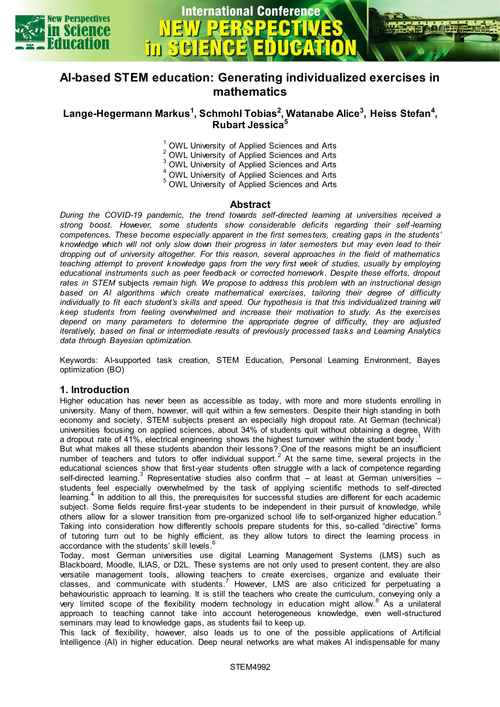

 $\mathbf{m}$ 



**International Conference** 

# **Lange-Hegermann Markus<sup>1</sup> , Schmohl Tobias<sup>2</sup> , Watanabe Alice<sup>3</sup> , Heiss Stefan<sup>4</sup> , Rubart Jessica<sup>5</sup>**

- $\frac{1}{6}$  OWL University of Applied Sciences and Arts  $\frac{2}{3}$  OWL University of Applied Sciences and Arts  $3$  OWL University of Applied Sciences and Arts  $\frac{4}{3}$  OWL University of Applied Sciences and Arts
- 5 OWL University of Applied Sciences and Arts

#### **Abstract**

*During the COVID-19 pandemic, the trend towards self-directed learning at universities received a strong boost. However, some students show considerable deficits regarding their self -learning competences. These become especially apparent in the first semesters, creating gaps in the students' knowledge which will not only slow down their progress in later semesters but may even lead to their dropping out of university altogether. For this reason, several approaches in the field of mathematics teaching attempt to prevent knowledge gaps from the very first week of studies, usually by employing educational instruments such as peer feedback or corrected homework. Despite these efforts, dropout rates in STEM* subjects *remain high. We propose to address this problem with an instructional design based on AI algorithms which create mathematical exercises, tailoring their degree of difficulty*  individually to fit each student's skills and speed. Our hypothesis is that this individualized training will *keep students from feeling overwhelmed and increase their motivation to study. As the exercises depend on many parameters to determine the appropriate degree of difficulty, they are adjusted iteratively, based on final or intermediate results of previously processed tasks and Learning Analytics data through Bayesian optimization.* 

Keywords: AI-supported task creation, STEM Education, Personal Learning Environment, Bayes optimization (BO)

### **1. Introduction**

Higher education has never been as accessible as today, with more and more students enrolling in university. Many of them, however, will quit within a few semesters. Despite their high standing in both economy and society, STEM subjects present an especially high dropout rate. At German (technical) universities focusing on applied sciences, about 34% of students quit without obtaining a degree. With a dropout rate of 41%, electrical engineering shows the highest turnover within the student body.<sup>1</sup>

But what makes all these students abandon their lessons? One of the reasons might be an insufficient number of teachers and tutors to offer individual support.<sup>2</sup> At the same time, several projects in the educational sciences show that first-year students often struggle with a lack of competence regarding self-directed learning.<sup>3</sup> Representative studies also confirm that – at least at German universities – students feel especially overwhelmed by the task of applying scientific methods to self-directed learning. $4$  In addition to all this, the prerequisites for successful studies are different for each academic subject. Some fields require first-year students to be independent in their pursuit of knowledge, while others allow for a slower transition from pre-organized school life to self-organized higher education.<sup>5</sup> Taking into consideration how differently schools prepare students for this, so-called "directive" forms of tutoring turn out to be highly efficient, as they allow tutors to direct the learning process in accordance with the students' skill levels. 6

Today, most German universities use digital Learning Management Systems (LMS) such as Blackboard, Moodle, ILIAS, or D2L. These systems are not only used to present content, they are also versatile management tools, allowing teachers to create exercises, organize and evaluate their classes, and communicate with students.<sup>7</sup> However, LMS are also criticized for perpetuating a behaviouristic approach to learning. It is still the teachers who create the curriculum, conveying only a very limited scope of the flexibility modern technology in education might allow.<sup>8</sup> As a unilateral approach to teaching cannot take into account heterogeneous knowledge, even well-structured seminars may lead to knowledge gaps, as students fail to keep up.

This lack of flexibility, however, also leads us to one of the possible applications of Artificial Intelligence (AI) in higher education. Deep neural networks are what makes AI indispensable for many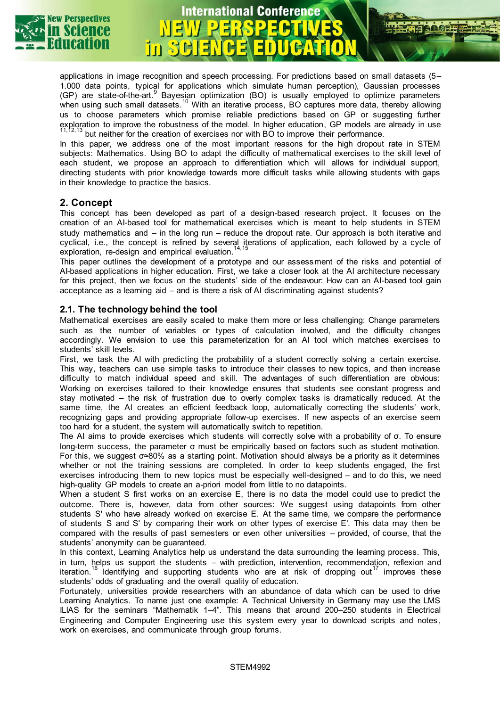

### applications in image recognition and speech processing. For predictions based on small datasets (5– 1.000 data points, typical for applications which simulate human perception), Gaussian processes (GP) are state-of-the-art. Bayesian optimization (BO) is usually employed to optimize parameters when using such small datasets.<sup>10</sup> With an iterative process, BO captures more data, thereby allowing us to choose parameters which promise reliable predictions based on GP or suggesting further exploration to improve the robustness of the model. In higher education, GP models are already in use  $13$  but neither for the creation of exercises nor with BO to improve their performance.

**International Conference** 

In this paper, we address one of the most important reasons for the high dropout rate in STEM subjects: Mathematics. Using BO to adapt the difficulty of mathematical exercises to the skill level of each student, we propose an approach to differentiation which will allows for individual support, directing students with prior knowledge towards more difficult tasks while allowing students with gaps in their knowledge to practice the basics.

## **2. Concept**

This concept has been developed as part of a design-based research project. It focuses on the creation of an AI-based tool for mathematical exercises which is meant to help students in STEM study mathematics and – in the long run – reduce the dropout rate. Our approach is both iterative and cyclical, i.e., the concept is refined by several iterations of application, each followed by a cycle of exploration, re-design and empirical evaluation.<sup>14,15</sup>

This paper outlines the development of a prototype and our assessment of the risks and potential of AI-based applications in higher education. First, we take a closer look at the AI architecture necessary for this project, then we focus on the students' side of the endeavour: How can an AI-based tool gain acceptance as a learning aid – and is there a risk of AI discriminating against students?

### **2.1. The technology behind the tool**

Mathematical exercises are easily scaled to make them more or less challenging: Change parameters such as the number of variables or types of calculation involved, and the difficulty changes accordingly. We envision to use this parameterization for an AI tool which matches exercises to students' skill levels.

First, we task the AI with predicting the probability of a student correctly solving a certain exercise. This way, teachers can use simple tasks to introduce their classes to new topics, and then increase difficulty to match individual speed and skill. The advantages of such differentiation are obvious: Working on exercises tailored to their knowledge ensures that students see constant progress and stay motivated – the risk of frustration due to overly complex tasks is dramatically reduced. At the same time, the AI creates an efficient feedback loop, automatically correcting the students' work, recognizing gaps and providing appropriate follow-up exercises. If new aspects of an exercise seem too hard for a student, the system will automatically switch to repetition.

The AI aims to provide exercises which students will correctly solve with a probability of σ. To ensure long-term success, the parameter σ must be empirically based on factors such as student motivation. For this, we suggest σ≈80% as a starting point. Motivation should always be a priority as it determines whether or not the training sessions are completed. In order to keep students engaged, the first exercises introducing them to new topics must be especially well-designed – and to do this, we need high-quality GP models to create an a-priori model from little to no datapoints.

When a student S first works on an exercise E, there is no data the model could use to predict the outcome. There is, however, data from other sources: We suggest using datapoints from other students S' who have already worked on exercise E. At the same time, we compare the performance of students S and S' by comparing their work on other types of exercise E'. This data may then be compared with the results of past semesters or even other universities – provided, of course, that the students' anonymity can be guaranteed.

In this context, Learning Analytics help us understand the data surrounding the learning process. This, in turn, helps us support the students – with prediction, intervention, recommendation, reflexion and iteration.<sup>16</sup> Identifying and supporting students who are at risk of dropping out<sup>17</sup> improves these students' odds of graduating and the overall quality of education.

Fortunately, universities provide researchers with an abundance of data which can be used to drive Learning Analytics. To name just one example: A Technical University in Germany may use the LMS ILIAS for the seminars "Mathematik 1–4". This means that around 200–250 students in Electrical Engineering and Computer Engineering use this system every year to download scripts and notes , work on exercises, and communicate through group forums.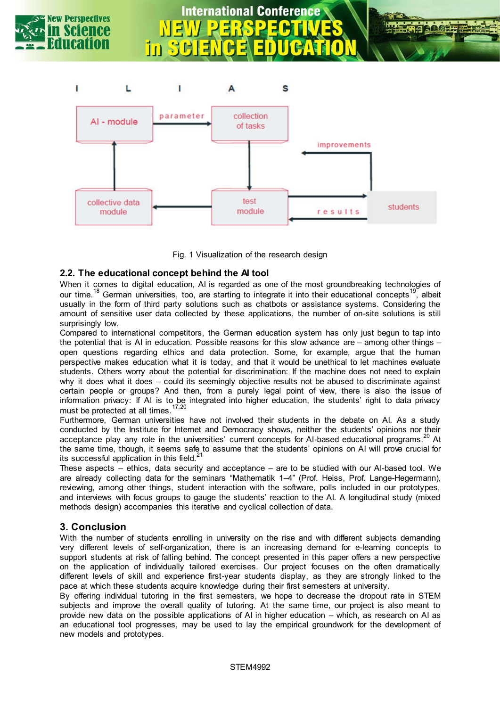

# **International Conference**



Fig. 1 Visualization of the research design

## **2.2. The educational concept behind the AI tool**

When it comes to digital education, AI is regarded as one of the most groundbreaking technologies of our time.<sup>18</sup> German universities, too, are starting to integrate it into their educational concepts<sup>19</sup>, albeit usually in the form of third party solutions such as chatbots or assistance systems. Considering the amount of sensitive user data collected by these applications, the number of on-site solutions is still surprisingly low.

Compared to international competitors, the German education system has only just begun to tap into the potential that is AI in education. Possible reasons for this slow advance are – among other things – open questions regarding ethics and data protection. Some, for example, argue that the human perspective makes education what it is today, and that it would be unethical to let machines evaluate students. Others worry about the potential for discrimination: If the machine does not need to explain why it does what it does – could its seemingly objective results not be abused to discriminate against certain people or groups? And then, from a purely legal point of view, there is also the issue of information privacy: If AI is to be integrated into higher education, the students' right to data privacy must be protected at all times.<sup>17,20</sup>

Furthermore, German universities have not involved their students in the debate on AI. As a study conducted by the Institute for Internet and Democracy shows, neither the students' opinions nor their acceptance play any role in the universities' current concepts for AI-based educational programs.<sup>20</sup> At the same time, though, it seems safe to assume that the students' opinions on AI will prove crucial for its successful application in this field. $2$ 

These aspects – ethics, data security and acceptance – are to be studied with our AI-based tool. We are already collecting data for the seminars "Mathematik 1–4" (Prof. Heiss, Prof. Lange-Hegermann), reviewing, among other things, student interaction with the software, polls included in our prototypes, and interviews with focus groups to gauge the students' reaction to the AI. A longitudinal study (mixed methods design) accompanies this iterative and cyclical collection of data.

# **3. Conclusion**

With the number of students enrolling in university on the rise and with different subjects demanding very different levels of self-organization, there is an increasing demand for e-learning concepts to support students at risk of falling behind. The concept presented in this paper offers a new perspective on the application of individually tailored exercises. Our project focuses on the often dramatically different levels of skill and experience first-year students display, as they are strongly linked to the pace at which these students acquire knowledge during their first semesters at university.

By offering individual tutoring in the first semesters, we hope to decrease the dropout rate in STEM subjects and improve the overall quality of tutoring. At the same time, our project is also meant to provide new data on the possible applications of AI in higher education – which, as research on AI as an educational tool progresses, may be used to lay the empirical groundwork for the development of new models and prototypes.